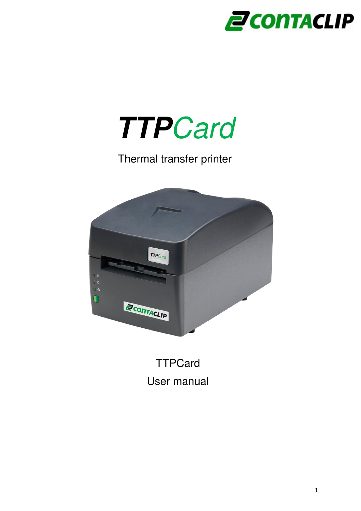



### Thermal transfer printer



**TTPCard** User manual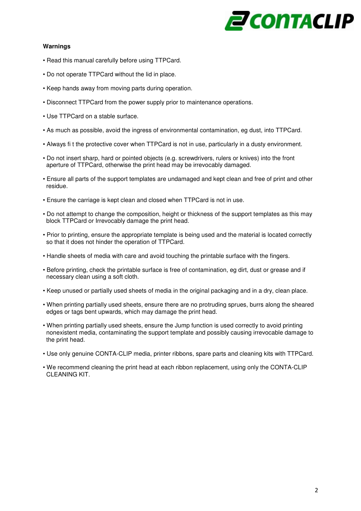## *2 CONTACLIP*

### **Warnings**

- Read this manual carefully before using TTPCard.
- Do not operate TTPCard without the lid in place.
- Keep hands away from moving parts during operation.
- Disconnect TTPCard from the power supply prior to maintenance operations.
- Use TTPCard on a stable surface.
- As much as possible, avoid the ingress of environmental contamination, eg dust, into TTPCard.
- Always fi t the protective cover when TTPCard is not in use, particularly in a dusty environment.
- Do not insert sharp, hard or pointed objects (e.g. screwdrivers, rulers or knives) into the front aperture of TTPCard, otherwise the print head may be irrevocably damaged.
- Ensure all parts of the support templates are undamaged and kept clean and free of print and other residue.
- Ensure the carriage is kept clean and closed when TTPCard is not in use.
- Do not attempt to change the composition, height or thickness of the support templates as this may block TTPCard or Irrevocably damage the print head.
- Prior to printing, ensure the appropriate template is being used and the material is located correctly so that it does not hinder the operation of TTPCard.
- Handle sheets of media with care and avoid touching the printable surface with the fingers.
- Before printing, check the printable surface is free of contamination, eg dirt, dust or grease and if necessary clean using a soft cloth.
- Keep unused or partially used sheets of media in the original packaging and in a dry, clean place.
- When printing partially used sheets, ensure there are no protruding sprues, burrs along the sheared edges or tags bent upwards, which may damage the print head.
- When printing partially used sheets, ensure the Jump function is used correctly to avoid printing nonexistent media, contaminating the support template and possibly causing irrevocable damage to the print head.
- Use only genuine CONTA-CLIP media, printer ribbons, spare parts and cleaning kits with TTPCard.
- We recommend cleaning the print head at each ribbon replacement, using only the CONTA-CLIP CLEANING KIT.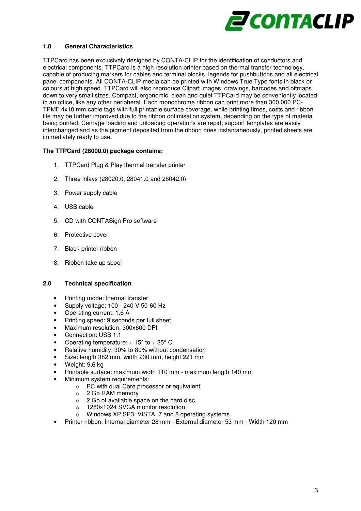

#### **1.0 General Characteristics**

TTPCard has been exclusively designed by CONTA-CLIP for the identification of conductors and electrical components. TTPCard is a high resolution printer based on thermal transfer technology, capable of producing markers for cables and terminal blocks, legends for pushbuttons and all electrical panel components. All CONTA-CLIP media can be printed with Windows True Type fonts in black or colours at high speed. TTPCard will also reproduce Clipart images, drawings, barcodes and bitmaps down to very small sizes. Compact, ergonomic, clean and quiet TTPCard may be conveniently located in an office, like any other peripheral. Each monochrome ribbon can print more than 300.000 PC-TPMF 4x10 mm cable tags with full printable surface coverage, while printing times, costs and ribbon life may be further improved due to the ribbon optimisation system, depending on the type of material being printed. Carriage loading and unloading operations are rapid; support templates are easily interchanged and as the pigment deposited from the ribbon dries instantaneously, printed sheets are immediately ready to use.

#### **The TTPCard (28000.0) package contains:**

- 1. TTPCard Plug & Play thermal transfer printer
- 2. Three inlays (28020.0, 28041.0 and 28042.0)
- 3. Power supply cable
- 4. USB cable
- 5. CD with CONTASign Pro software
- 6. Protective cover
- 7. Black printer ribbon
- 8. Ribbon take up spool

#### **2.0 Technical specification**

- Printing mode: thermal transfer
- Supply voltage: 100 240 V 50-60 Hz
- Operating current: 1.6 A
- Printing speed: 9 seconds per full sheet
- Maximum resolution: 300x600 DPI
- Connection: USB 1.1
- Operating temperature:  $+15^{\circ}$  to  $+35^{\circ}$  C
- Relative humidity: 30% to 80% without condensation
- Size: length 382 mm, width 230 mm, height 221 mm
- Weight: 9.6 kg
- Printable surface: maximum width 110 mm maximum length 140 mm
- Minimum system requirements:
	- o PC with dual Core processor or equivalent
	- o 2 Gb RAM memory
	- o 2 Gb of available space on the hard disc
	- o 1280x1024 SVGA monitor resolution.
	- o Windows XP SP3, VISTA, 7 and 8 operating systems.
- Printer ribbon: Internal diameter 28 mm External diameter 53 mm Width 120 mm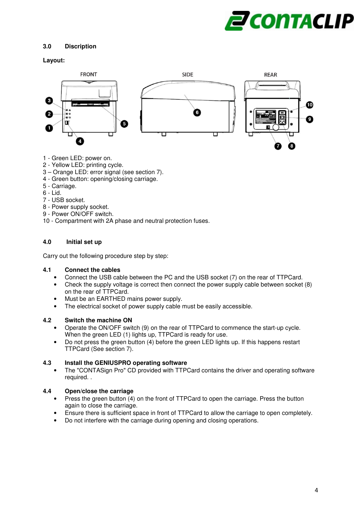

#### **3.0 Discription**

#### **Layout:**



- 1 Green LED: power on.
- 2 Yellow LED: printing cycle.
- 3 Orange LED: error signal (see section 7).
- 4 Green button: opening/closing carriage.
- 5 Carriage.
- 6 Lid.
- 7 USB socket.
- 8 Power supply socket.
- 9 Power ON/OFF switch.
- 10 Compartment with 2A phase and neutral protection fuses.

#### **4.0 Initial set up**

Carry out the following procedure step by step:

#### **4.1 Connect the cables**

- Connect the USB cable between the PC and the USB socket (7) on the rear of TTPCard.
- Check the supply voltage is correct then connect the power supply cable between socket (8) on the rear of TTPCard.
- Must be an EARTHED mains power supply.
- The electrical socket of power supply cable must be easily accessible.

#### **4.2 Switch the machine ON**

- Operate the ON/OFF switch (9) on the rear of TTPCard to commence the start-up cycle. When the green LED (1) lights up, TTPCard is ready for use.
- Do not press the green button (4) before the green LED lights up. If this happens restart TTPCard (See section 7).

#### **4.3 Install the GENIUSPRO operating software**

• The "CONTASign Pro" CD provided with TTPCard contains the driver and operating software required. .

#### **4.4 Open/close the carriage**

- Press the green button (4) on the front of TTPCard to open the carriage. Press the button again to close the carriage.
- Ensure there is sufficient space in front of TTPCard to allow the carriage to open completely.
- Do not interfere with the carriage during opening and closing operations.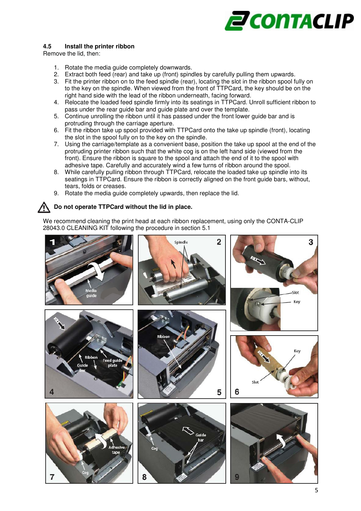

#### **4.5 Install the printer ribbon**

Remove the lid, then:

- 1. Rotate the media guide completely downwards.
- 2. Extract both feed (rear) and take up (front) spindles by carefully pulling them upwards.
- 3. Fit the printer ribbon on to the feed spindle (rear), locating the slot in the ribbon spool fully on to the key on the spindle. When viewed from the front of TTPCard, the key should be on the right hand side with the lead of the ribbon underneath, facing forward.
- 4. Relocate the loaded feed spindle firmly into its seatings in TTPCard. Unroll sufficient ribbon to pass under the rear guide bar and guide plate and over the template.
- 5. Continue unrolling the ribbon until it has passed under the front lower guide bar and is protruding through the carriage aperture.
- 6. Fit the ribbon take up spool provided with TTPCard onto the take up spindle (front), locating the slot in the spool fully on to the key on the spindle.
- 7. Using the carriage/template as a convenient base, position the take up spool at the end of the protruding printer ribbon such that the white cog is on the left hand side (viewed from the front). Ensure the ribbon is square to the spool and attach the end of it to the spool with adhesive tape. Carefully and accurately wind a few turns of ribbon around the spool.
- 8. While carefully pulling ribbon through TTPCard, relocate the loaded take up spindle into its seatings in TTPCard. Ensure the ribbon is correctly aligned on the front guide bars, without, tears, folds or creases.
- 9. Rotate the media guide completely upwards, then replace the lid.

#### **Do not operate TTPCard without the lid in place.**  ∕∖∖

We recommend cleaning the print head at each ribbon replacement, using only the CONTA-CLIP 28043.0 CLEANING KIT following the procedure in section 5.1

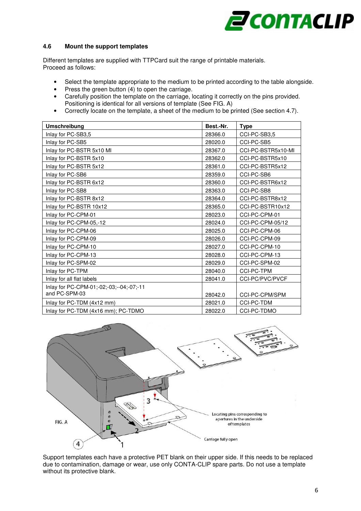## **Z CONTACLIP**

#### **4.6 Mount the support templates**

Different templates are supplied with TTPCard suit the range of printable materials. Proceed as follows:

- Select the template appropriate to the medium to be printed according to the table alongside.
- Press the green button (4) to open the carriage.
- Carefully position the template on the carriage, locating it correctly on the pins provided. Positioning is identical for all versions of template (See FIG. A)
- Correctly locate on the template, a sheet of the medium to be printed (See section 4.7).

| <b>Umschreibung</b>                      | Best.-Nr. | <b>Type</b>        |
|------------------------------------------|-----------|--------------------|
| Inlay for PC-SB3,5                       | 28366.0   | CCI-PC-SB3,5       |
| Inlay for PC-SB5                         | 28020.0   | CCI-PC-SB5         |
| Inlay for PC-BSTR 5x10 MI                | 28367.0   | CCI-PC-BSTR5x10-MI |
| Inlay for PC-BSTR 5x10                   | 28362.0   | CCI-PC-BSTR5x10    |
| Inlay for PC-BSTR 5x12                   | 28361.0   | CCI-PC-BSTR5x12    |
| Inlay for PC-SB6                         | 28359.0   | CCI-PC-SB6         |
| Inlay for PC-BSTR 6x12                   | 28360.0   | CCI-PC-BSTR6x12    |
| Inlay for PC-SB8                         | 28363.0   | CCI-PC-SB8         |
| Inlay for PC-BSTR 8x12                   | 28364.0   | CCI-PC-BSTR8x12    |
| Inlay for PC-BSTR 10x12                  | 28365.0   | CCI-PC-BSTR10x12   |
| Inlay for PC-CPM-01                      | 28023.0   | CCI-PC-CPM-01      |
| Inlay for PC-CPM-05,-12                  | 28024.0   | CCI-PC-CPM-05/12   |
| Inlay for PC-CPM-06                      | 28025.0   | CCI-PC-CPM-06      |
| Inlay for PC-CPM-09                      | 28026.0   | CCI-PC-CPM-09      |
| Inlay for PC-CPM-10                      | 28027.0   | CCI-PC-CPM-10      |
| Inlay for PC-CPM-13                      | 28028.0   | CCI-PC-CPM-13      |
| Inlay for PC-SPM-02                      | 28029.0   | CCI-PC-SPM-02      |
| Inlay for PC-TPM                         | 28040.0   | <b>CCI-PC-TPM</b>  |
| Inlay for all flat labels                | 28041.0   | CCI-PC/PVC/PVCF    |
| Inlay for PC-CPM-01;-02;-03;--04;-07;-11 |           |                    |
| and PC-SPM-03                            | 28042.0   | CCI-PC-CPM/SPM     |
| Inlay for PC-TDM (4x12 mm)               | 28021.0   | <b>CCI-PC-TDM</b>  |
| Inlay for PC-TDM (4x16 mm); PC-TDMO      | 28022.0   | <b>CCI-PC-TDMO</b> |



Support templates each have a protective PET blank on their upper side. If this needs to be replaced due to contamination, damage or wear, use only CONTA-CLIP spare parts. Do not use a template without its protective blank.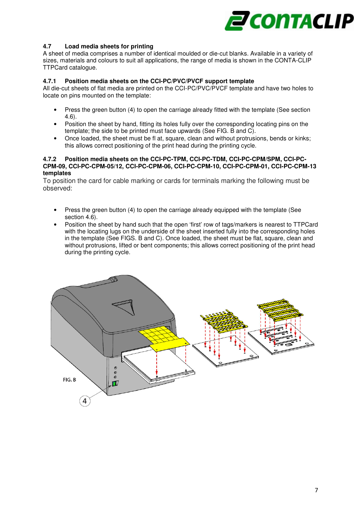

#### **4.7 Load media sheets for printing**

A sheet of media comprises a number of identical moulded or die-cut blanks. Available in a variety of sizes, materials and colours to suit all applications, the range of media is shown in the CONTA-CLIP TTPCard catalogue.

#### **4.7.1 Position media sheets on the CCI-PC/PVC/PVCF support template**

All die-cut sheets of flat media are printed on the CCI-PC/PVC/PVCF template and have two holes to locate on pins mounted on the template:

- Press the green button (4) to open the carriage already fitted with the template (See section 4.6).
- Position the sheet by hand, fitting its holes fully over the corresponding locating pins on the template; the side to be printed must face upwards (See FIG. B and C).
- Once loaded, the sheet must be fl at, square, clean and without protrusions, bends or kinks; this allows correct positioning of the print head during the printing cycle.

#### **4.7.2 Position media sheets on the CCI-PC-TPM, CCI-PC-TDM, CCI-PC-CPM/SPM, CCI-PC-CPM-09, CCI-PC-CPM-05/12, CCI-PC-CPM-06, CCI-PC-CPM-10, CCI-PC-CPM-01, CCI-PC-CPM-13 templates**

To position the card for cable marking or cards for terminals marking the following must be observed:

- Press the green button (4) to open the carriage already equipped with the template (See section 4.6).
- Position the sheet by hand such that the open 'first' row of tags/markers is nearest to TTPCard with the locating lugs on the underside of the sheet inserted fully into the corresponding holes in the template (See FIGS. B and C). Once loaded, the sheet must be flat, square, clean and without protrusions, lifted or bent components; this allows correct positioning of the print head during the printing cycle.

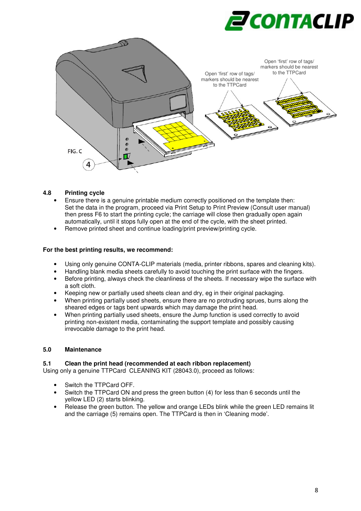



#### **4.8 Printing cycle**

- Ensure there is a genuine printable medium correctly positioned on the template then: Set the data in the program, proceed via Print Setup to Print Preview (Consult user manual) then press F6 to start the printing cycle; the carriage will close then gradually open again automatically, until it stops fully open at the end of the cycle, with the sheet printed.
- Remove printed sheet and continue loading/print preview/printing cycle.

#### **For the best printing results, we recommend:**

- Using only genuine CONTA-CLIP materials (media, printer ribbons, spares and cleaning kits).
- Handling blank media sheets carefully to avoid touching the print surface with the fingers.
- Before printing, always check the cleanliness of the sheets. If necessary wipe the surface with a soft cloth.
- Keeping new or partially used sheets clean and dry, eg in their original packaging.
- When printing partially used sheets, ensure there are no protruding sprues, burrs along the sheared edges or tags bent upwards which may damage the print head.
- When printing partially used sheets, ensure the Jump function is used correctly to avoid printing non-existent media, contaminating the support template and possibly causing irrevocable damage to the print head.

#### **5.0 Maintenance**

#### **5.1 Clean the print head (recommended at each ribbon replacement)**

Using only a genuine TTPCard CLEANING KIT (28043.0), proceed as follows:

- Switch the TTPCard OFF.
- Switch the TTPCard ON and press the green button (4) for less than 6 seconds until the yellow LED (2) starts blinking.
- Release the green button. The yellow and orange LEDs blink while the green LED remains lit and the carriage (5) remains open. The TTPCard is then in 'Cleaning mode'.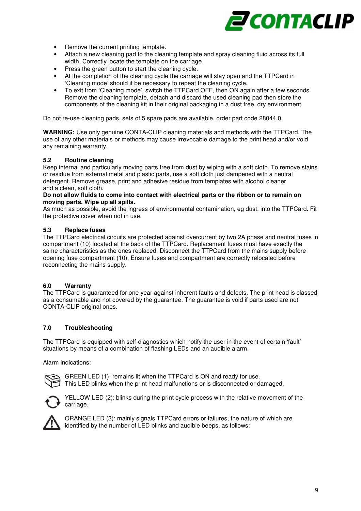

- Remove the current printing template.
- Attach a new cleaning pad to the cleaning template and spray cleaning fluid across its full width. Correctly locate the template on the carriage.
- Press the green button to start the cleaning cycle.
- At the completion of the cleaning cycle the carriage will stay open and the TTPCard in 'Cleaning mode' should it be necessary to repeat the cleaning cycle.
- To exit from 'Cleaning mode', switch the TTPCard OFF, then ON again after a few seconds. Remove the cleaning template, detach and discard the used cleaning pad then store the components of the cleaning kit in their original packaging in a dust free, dry environment.

Do not re-use cleaning pads, sets of 5 spare pads are available, order part code 28044.0.

**WARNING:** Use only genuine CONTA-CLIP cleaning materials and methods with the TTPCard. The use of any other materials or methods may cause irrevocable damage to the print head and/or void any remaining warranty.

#### **5.2 Routine cleaning**

Keep internal and particularly moving parts free from dust by wiping with a soft cloth. To remove stains or residue from external metal and plastic parts, use a soft cloth just dampened with a neutral detergent. Remove grease, print and adhesive residue from templates with alcohol cleaner and a clean, soft cloth.

#### **Do not allow fluids to come into contact with electrical parts or the ribbon or to remain on moving parts. Wipe up all spills.**

As much as possible, avoid the ingress of environmental contamination, eg dust, into the TTPCard. Fit the protective cover when not in use.

#### **5.3 Replace fuses**

The TTPCard electrical circuits are protected against overcurrent by two 2A phase and neutral fuses in compartment (10) located at the back of the TTPCard. Replacement fuses must have exactly the same characteristics as the ones replaced. Disconnect the TTPCard from the mains supply before opening fuse compartment (10). Ensure fuses and compartment are correctly relocated before reconnecting the mains supply.

#### **6.0 Warranty**

The TTPCard is guaranteed for one year against inherent faults and defects. The print head is classed as a consumable and not covered by the guarantee. The guarantee is void if parts used are not CONTA-CLIP original ones.

#### **7.0 Troubleshooting**

The TTPCard is equipped with self-diagnostics which notify the user in the event of certain 'fault' situations by means of a combination of flashing LEDs and an audible alarm.

Alarm indications:



GREEN LED (1): remains lit when the TTPCard is ON and ready for use. This LED blinks when the print head malfunctions or is disconnected or damaged.



YELLOW LED (2): blinks during the print cycle process with the relative movement of the carriage.



ORANGE LED (3): mainly signals TTPCard errors or failures, the nature of which are identified by the number of LED blinks and audible beeps, as follows: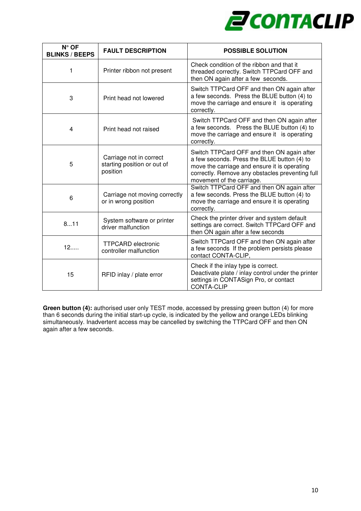

| $N^{\circ}$ OF<br><b>BLINKS / BEEPS</b> | <b>FAULT DESCRIPTION</b>                                           | <b>POSSIBLE SOLUTION</b>                                                                                                                                                                                                  |
|-----------------------------------------|--------------------------------------------------------------------|---------------------------------------------------------------------------------------------------------------------------------------------------------------------------------------------------------------------------|
| 1                                       | Printer ribbon not present                                         | Check condition of the ribbon and that it<br>threaded correctly. Switch TTPCard OFF and<br>then ON again after a few seconds.                                                                                             |
| 3                                       | Print head not lowered                                             | Switch TTPCard OFF and then ON again after<br>a few seconds. Press the BLUE button (4) to<br>move the carriage and ensure it is operating<br>correctly.                                                                   |
| 4                                       | Print head not raised                                              | Switch TTPCard OFF and then ON again after<br>a few seconds. Press the BLUE button (4) to<br>move the carriage and ensure it is operating<br>correctly.                                                                   |
| 5                                       | Carriage not in correct<br>starting position or out of<br>position | Switch TTPCard OFF and then ON again after<br>a few seconds. Press the BLUE button (4) to<br>move the carriage and ensure it is operating<br>correctly. Remove any obstacles preventing full<br>movement of the carriage. |
| 6                                       | Carriage not moving correctly<br>or in wrong position              | Switch TTPCard OFF and then ON again after<br>a few seconds. Press the BLUE button (4) to<br>move the carriage and ensure it is operating<br>correctly.                                                                   |
| 811                                     | System software or printer<br>driver malfunction                   | Check the printer driver and system default<br>settings are correct. Switch TTPCard OFF and<br>then ON again after a few seconds                                                                                          |
| 12                                      | <b>TTPCARD</b> electronic<br>controller malfunction                | Switch TTPCard OFF and then ON again after<br>a few seconds If the problem persists please<br>contact CONTA-CLIP,                                                                                                         |
| 15                                      | RFID inlay / plate error                                           | Check if the inlay type is correct.<br>Deactivate plate / inlay control under the printer<br>settings in CONTASign Pro, or contact<br><b>CONTA-CLIP</b>                                                                   |

**Green button (4):** authorised user only TEST mode, accessed by pressing green button (4) for more than 6 seconds during the initial start-up cycle, is indicated by the yellow and orange LEDs blinking simultaneously. Inadvertent access may be cancelled by switching the TTPCard OFF and then ON again after a few seconds.